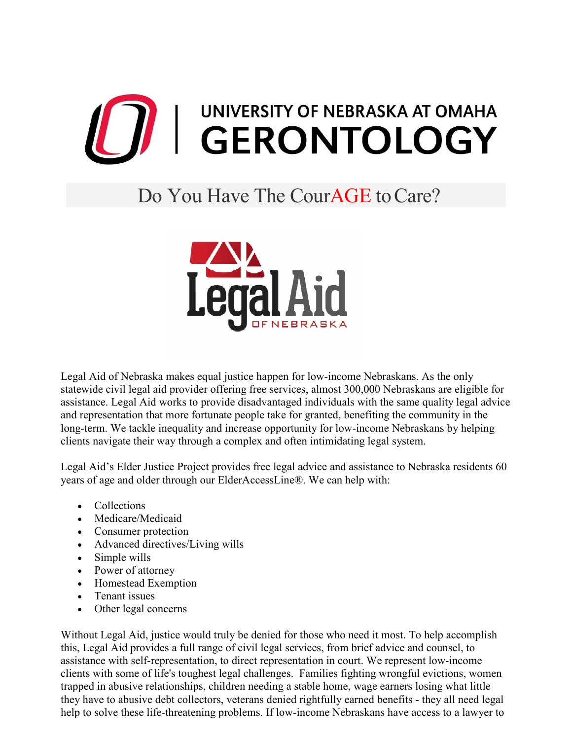

## Do You Have The Cour**AGE** to Care?



Legal Aid of Nebraska makes equal justice happen for low-income Nebraskans. As the only statewide civil legal aid provider offering free services, almost 300,000 Nebraskans are eligible for assistance. Legal Aid works to provide disadvantaged individuals with the same quality legal advice and representation that more fortunate people take for granted, benefiting the community in the long-term. We tackle inequality and increase opportunity for low-income Nebraskans by helping clients navigate their way through a complex and often intimidating legal system.

Legal Aid's Elder Justice Project provides free legal advice and assistance to Nebraska residents 60 years of age and older through our ElderAccessLine®. We can help with:

- Collections
- Medicare/Medicaid
- Consumer protection
- Advanced directives/Living wills
- Simple wills
- Power of attorney
- Homestead Exemption
- Tenant issues
- Other legal concerns

Without Legal Aid, justice would truly be denied for those who need it most. To help accomplish this, Legal Aid provides a full range of civil legal services, from brief advice and counsel, to assistance with self-representation, to direct representation in court. We represent low-income clients with some of life's toughest legal challenges. Families fighting wrongful evictions, women trapped in abusive relationships, children needing a stable home, wage earners losing what little they have to abusive debt collectors, veterans denied rightfully earned benefits - they all need legal help to solve these life-threatening problems. If low-income Nebraskans have access to a lawyer to